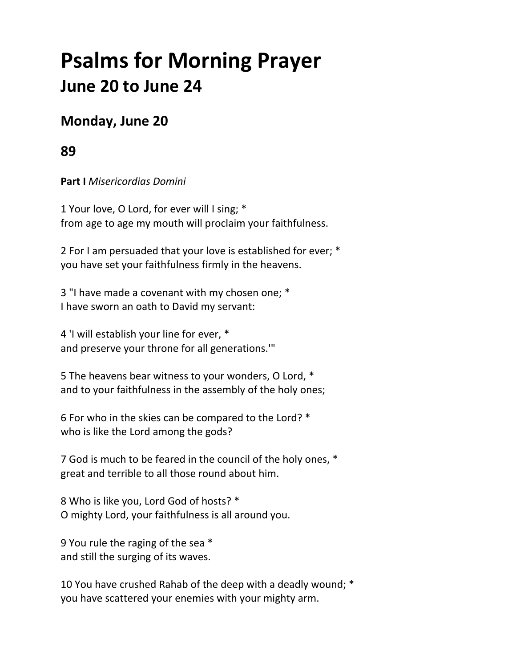# **Psalms for Morning Prayer June 20 to June 24**

## **Monday, June 20**

## **89**

**Part I** *Misericordias Domini*

1 Your love, O Lord, for ever will I sing; \* from age to age my mouth will proclaim your faithfulness.

2 For I am persuaded that your love is established for ever; \* you have set your faithfulness firmly in the heavens.

3 "I have made a covenant with my chosen one; \* I have sworn an oath to David my servant:

4 'I will establish your line for ever, \* and preserve your throne for all generations.'"

5 The heavens bear witness to your wonders, O Lord, \* and to your faithfulness in the assembly of the holy ones;

6 For who in the skies can be compared to the Lord? \* who is like the Lord among the gods?

7 God is much to be feared in the council of the holy ones, \* great and terrible to all those round about him.

8 Who is like you, Lord God of hosts? \* O mighty Lord, your faithfulness is all around you.

9 You rule the raging of the sea \* and still the surging of its waves.

10 You have crushed Rahab of the deep with a deadly wound; \* you have scattered your enemies with your mighty arm.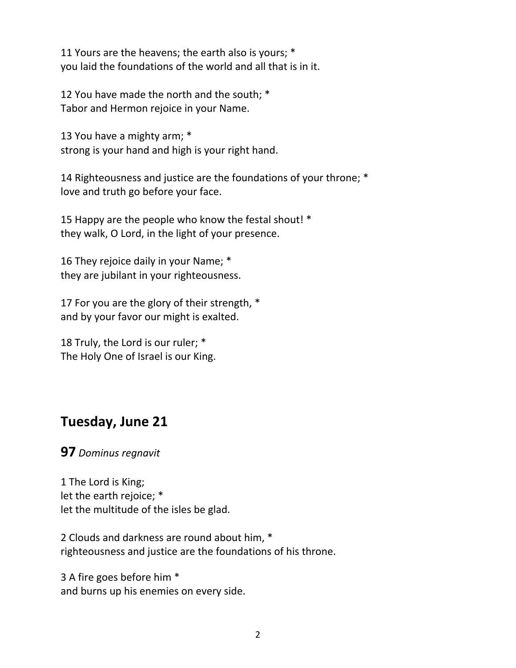11 Yours are the heavens; the earth also is yours; \* you laid the foundations of the world and all that is in it.

12 You have made the north and the south; \* Tabor and Hermon rejoice in your Name.

13 You have a mighty arm; \* strong is your hand and high is your right hand.

14 Righteousness and justice are the foundations of your throne; \* love and truth go before your face.

15 Happy are the people who know the festal shout! \* they walk, O Lord, in the light of your presence.

16 They rejoice daily in your Name; \* they are jubilant in your righteousness.

17 For you are the glory of their strength, \* and by your favor our might is exalted.

18 Truly, the Lord is our ruler; \* The Holy One of Israel is our King.

## **Tuesday, June 21**

#### **97** *Dominus regnavit*

1 The Lord is King; let the earth rejoice; \* let the multitude of the isles be glad.

2 Clouds and darkness are round about him, \* righteousness and justice are the foundations of his throne.

3 A fire goes before him \* and burns up his enemies on every side.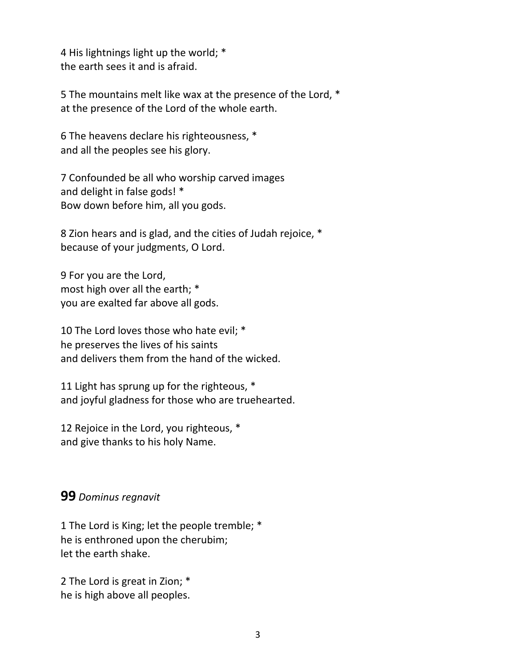4 His lightnings light up the world; \* the earth sees it and is afraid.

5 The mountains melt like wax at the presence of the Lord, \* at the presence of the Lord of the whole earth.

6 The heavens declare his righteousness, \* and all the peoples see his glory.

7 Confounded be all who worship carved images and delight in false gods! \* Bow down before him, all you gods.

8 Zion hears and is glad, and the cities of Judah rejoice, \* because of your judgments, O Lord.

9 For you are the Lord, most high over all the earth; \* you are exalted far above all gods.

10 The Lord loves those who hate evil; \* he preserves the lives of his saints and delivers them from the hand of the wicked.

11 Light has sprung up for the righteous, \* and joyful gladness for those who are truehearted.

12 Rejoice in the Lord, you righteous, \* and give thanks to his holy Name.

#### **99** *Dominus regnavit*

1 The Lord is King; let the people tremble; \* he is enthroned upon the cherubim; let the earth shake.

2 The Lord is great in Zion; \* he is high above all peoples.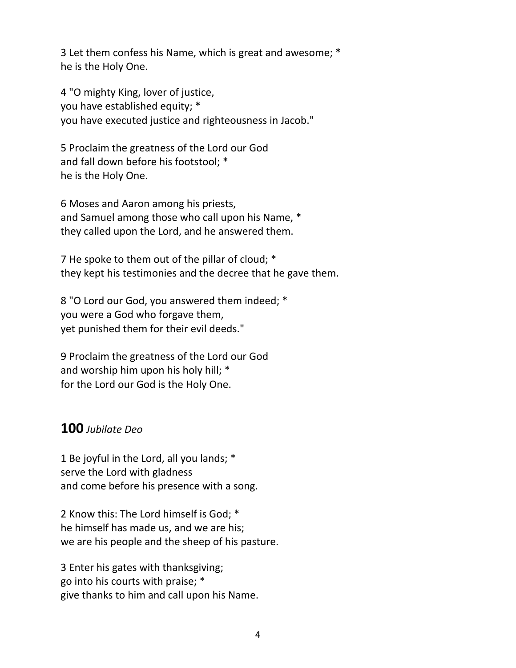3 Let them confess his Name, which is great and awesome; \* he is the Holy One.

4 "O mighty King, lover of justice, you have established equity; \* you have executed justice and righteousness in Jacob."

5 Proclaim the greatness of the Lord our God and fall down before his footstool; \* he is the Holy One.

6 Moses and Aaron among his priests, and Samuel among those who call upon his Name, \* they called upon the Lord, and he answered them.

7 He spoke to them out of the pillar of cloud; \* they kept his testimonies and the decree that he gave them.

8 "O Lord our God, you answered them indeed; \* you were a God who forgave them, yet punished them for their evil deeds."

9 Proclaim the greatness of the Lord our God and worship him upon his holy hill; \* for the Lord our God is the Holy One.

### **100** *Jubilate Deo*

1 Be joyful in the Lord, all you lands; \* serve the Lord with gladness and come before his presence with a song.

2 Know this: The Lord himself is God; \* he himself has made us, and we are his; we are his people and the sheep of his pasture.

3 Enter his gates with thanksgiving; go into his courts with praise; \* give thanks to him and call upon his Name.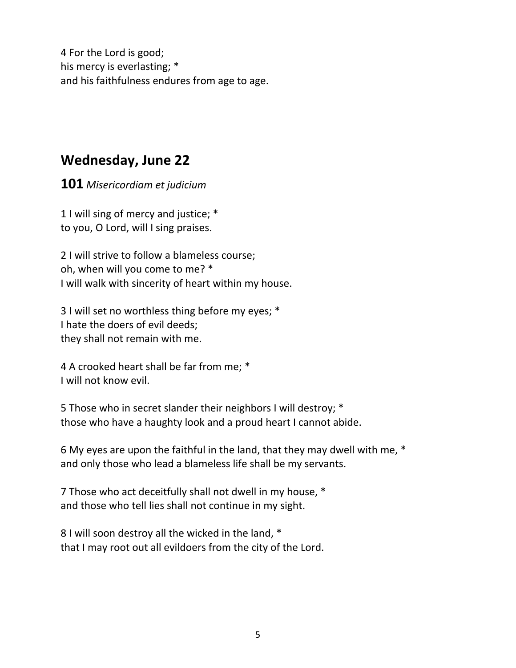4 For the Lord is good; his mercy is everlasting; \* and his faithfulness endures from age to age.

## **Wednesday, June 22**

**101** *Misericordiam et judicium*

1 I will sing of mercy and justice; \* to you, O Lord, will I sing praises.

2 I will strive to follow a blameless course; oh, when will you come to me? \* I will walk with sincerity of heart within my house.

3 I will set no worthless thing before my eyes; \* I hate the doers of evil deeds; they shall not remain with me.

4 A crooked heart shall be far from me; \* I will not know evil.

5 Those who in secret slander their neighbors I will destroy; \* those who have a haughty look and a proud heart I cannot abide.

6 My eyes are upon the faithful in the land, that they may dwell with me, \* and only those who lead a blameless life shall be my servants.

7 Those who act deceitfully shall not dwell in my house, \* and those who tell lies shall not continue in my sight.

8 I will soon destroy all the wicked in the land, \* that I may root out all evildoers from the city of the Lord.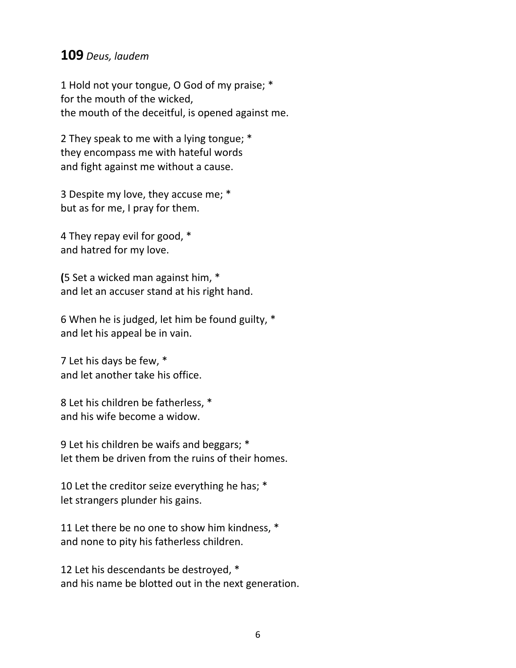#### **109** *Deus, laudem*

1 Hold not your tongue, O God of my praise; \* for the mouth of the wicked, the mouth of the deceitful, is opened against me.

2 They speak to me with a lying tongue; \* they encompass me with hateful words and fight against me without a cause.

3 Despite my love, they accuse me; \* but as for me, I pray for them.

4 They repay evil for good, \* and hatred for my love.

**(**5 Set a wicked man against him, \* and let an accuser stand at his right hand.

6 When he is judged, let him be found guilty, \* and let his appeal be in vain.

7 Let his days be few, \* and let another take his office.

8 Let his children be fatherless, \* and his wife become a widow.

9 Let his children be waifs and beggars; \* let them be driven from the ruins of their homes.

10 Let the creditor seize everything he has; \* let strangers plunder his gains.

11 Let there be no one to show him kindness, \* and none to pity his fatherless children.

12 Let his descendants be destroyed, \* and his name be blotted out in the next generation.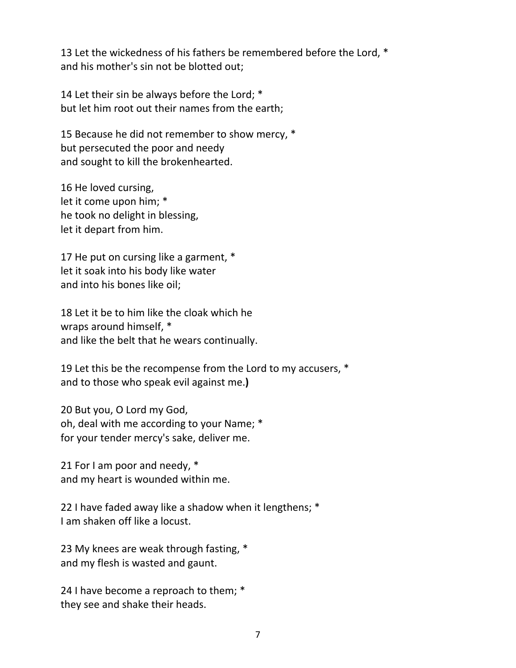13 Let the wickedness of his fathers be remembered before the Lord, \* and his mother's sin not be blotted out;

14 Let their sin be always before the Lord; \* but let him root out their names from the earth;

15 Because he did not remember to show mercy, \* but persecuted the poor and needy and sought to kill the brokenhearted.

16 He loved cursing, let it come upon him; \* he took no delight in blessing, let it depart from him.

17 He put on cursing like a garment, \* let it soak into his body like water and into his bones like oil;

18 Let it be to him like the cloak which he wraps around himself, \* and like the belt that he wears continually.

19 Let this be the recompense from the Lord to my accusers, \* and to those who speak evil against me.**)**

20 But you, O Lord my God, oh, deal with me according to your Name; \* for your tender mercy's sake, deliver me.

21 For I am poor and needy, \* and my heart is wounded within me.

22 I have faded away like a shadow when it lengthens; \* I am shaken off like a locust.

23 My knees are weak through fasting, \* and my flesh is wasted and gaunt.

24 I have become a reproach to them; \* they see and shake their heads.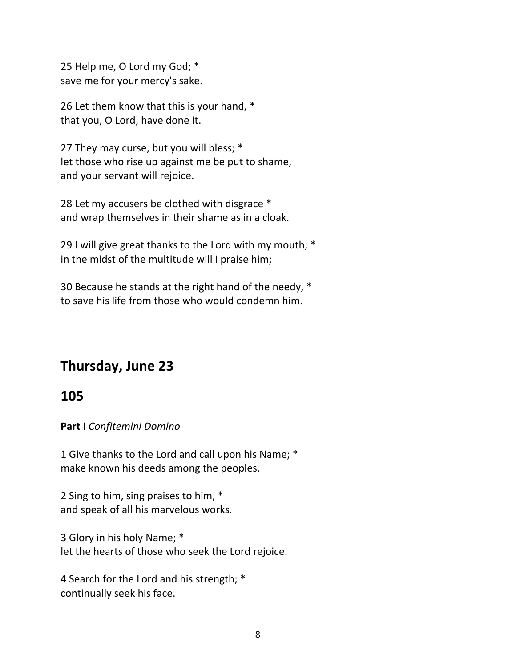25 Help me, O Lord my God; \* save me for your mercy's sake.

26 Let them know that this is your hand, \* that you, O Lord, have done it.

27 They may curse, but you will bless; \* let those who rise up against me be put to shame, and your servant will rejoice.

28 Let my accusers be clothed with disgrace \* and wrap themselves in their shame as in a cloak.

29 I will give great thanks to the Lord with my mouth; \* in the midst of the multitude will I praise him;

30 Because he stands at the right hand of the needy, \* to save his life from those who would condemn him.

# **Thursday, June 23**

## **105**

**Part I** *Confitemini Domino*

1 Give thanks to the Lord and call upon his Name; \* make known his deeds among the peoples.

2 Sing to him, sing praises to him, \* and speak of all his marvelous works.

3 Glory in his holy Name; \* let the hearts of those who seek the Lord rejoice.

4 Search for the Lord and his strength; \* continually seek his face.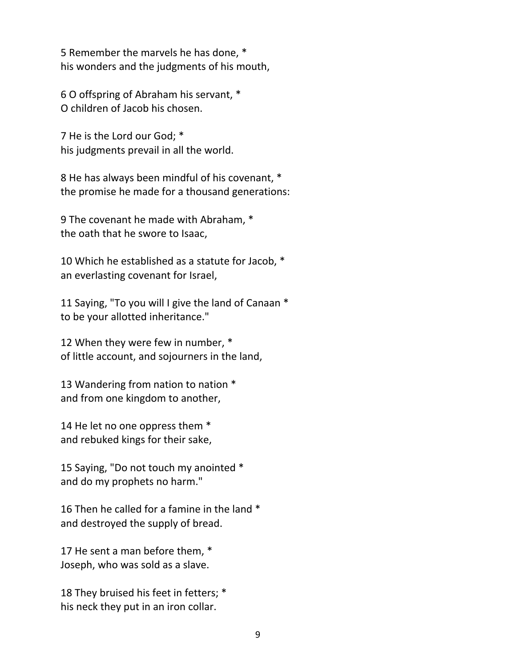5 Remember the marvels he has done, \* his wonders and the judgments of his mouth,

6 O offspring of Abraham his servant, \* O children of Jacob his chosen.

7 He is the Lord our God; \* his judgments prevail in all the world.

8 He has always been mindful of his covenant, \* the promise he made for a thousand generations:

9 The covenant he made with Abraham, \* the oath that he swore to Isaac,

10 Which he established as a statute for Jacob, \* an everlasting covenant for Israel,

11 Saying, "To you will I give the land of Canaan \* to be your allotted inheritance."

12 When they were few in number, \* of little account, and sojourners in the land,

13 Wandering from nation to nation \* and from one kingdom to another,

14 He let no one oppress them \* and rebuked kings for their sake,

15 Saying, "Do not touch my anointed \* and do my prophets no harm."

16 Then he called for a famine in the land \* and destroyed the supply of bread.

17 He sent a man before them, \* Joseph, who was sold as a slave.

18 They bruised his feet in fetters; \* his neck they put in an iron collar.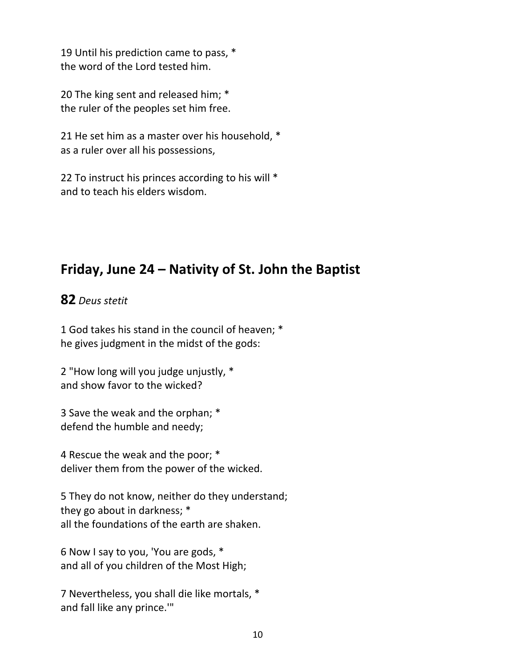19 Until his prediction came to pass, \* the word of the Lord tested him.

20 The king sent and released him; \* the ruler of the peoples set him free.

21 He set him as a master over his household, \* as a ruler over all his possessions,

22 To instruct his princes according to his will \* and to teach his elders wisdom.

# **Friday, June 24 – Nativity of St. John the Baptist**

#### **82** *Deus stetit*

1 God takes his stand in the council of heaven; \* he gives judgment in the midst of the gods:

2 "How long will you judge unjustly, \* and show favor to the wicked?

3 Save the weak and the orphan; \* defend the humble and needy;

4 Rescue the weak and the poor; \* deliver them from the power of the wicked.

5 They do not know, neither do they understand; they go about in darkness; \* all the foundations of the earth are shaken.

6 Now I say to you, 'You are gods, \* and all of you children of the Most High;

7 Nevertheless, you shall die like mortals, \* and fall like any prince.'"